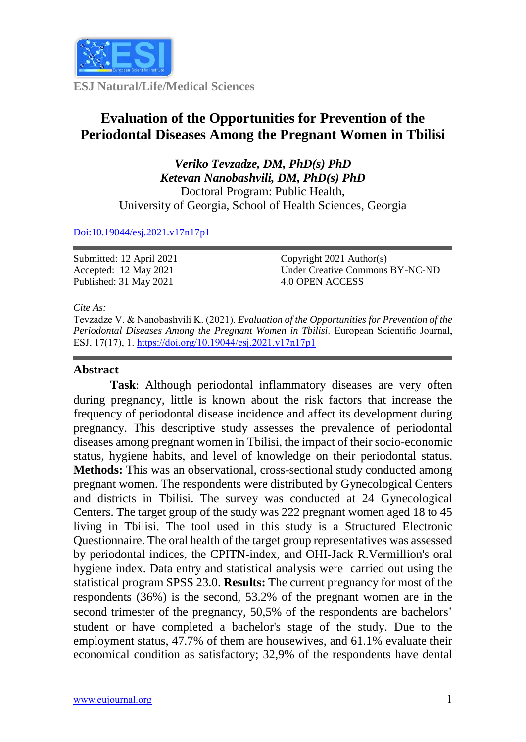

**ESJ Natural/Life/Medical Sciences**

# **Evaluation of the Opportunities for Prevention of the Periodontal Diseases Among the Pregnant Women in Tbilisi**

*Veriko Tevzadze, DM, PhD(s) PhD Ketevan Nanobashvili, DM, PhD(s) PhD* Doctoral Program: Public Health, University of Georgia, School of Health Sciences, Georgia

### [Doi:10.19044/esj.2021.v17n17p1](https://doi.org/10.19044/esj.2021.v17n17p1)

Submitted: 12 April 2021 Accepted: 12 May 2021 Published: 31 May 2021

Copyright 2021 Author(s) Under Creative Commons BY-NC-ND 4.0 OPEN ACCESS

*Cite As:*

Tevzadze V. & Nanobashvili K. (2021). *Evaluation of the Opportunities for Prevention of the Periodontal Diseases Among the Pregnant Women in Tbilisi.* European Scientific Journal, ESJ, 17(17), 1. <https://doi.org/10.19044/esj.2021.v17n17p1>

### **Abstract**

**Task**: Although periodontal inflammatory diseases are very often during pregnancy, little is known about the risk factors that increase the frequency of periodontal disease incidence and affect its development during pregnancy. This descriptive study assesses the prevalence of periodontal diseases among pregnant women in Tbilisi, the impact of their socio-economic status, hygiene habits, and level of knowledge on their periodontal status. **Methods:** This was an observational, cross-sectional study conducted among pregnant women. The respondents were distributed by Gynecological Centers and districts in Tbilisi. The survey was conducted at 24 Gynecological Centers. The target group of the study was 222 pregnant women aged 18 to 45 living in Tbilisi. The tool used in this study is a Structured Electronic Questionnaire. The oral health of the target group representatives was assessed by periodontal indices, the CPITN-index, and OHI-Jack R.Vermillion's oral hygiene index. Data entry and statistical analysis were carried out using the statistical program SPSS 23.0. **Results:** The current pregnancy for most of the respondents (36%) is the second, 53.2% of the pregnant women are in the second trimester of the pregnancy, 50,5% of the respondents are bachelors' student or have completed a bachelor's stage of the study. Due to the employment status, 47.7% of them are housewives, and 61.1% evaluate their economical condition as satisfactory; 32,9% of the respondents have dental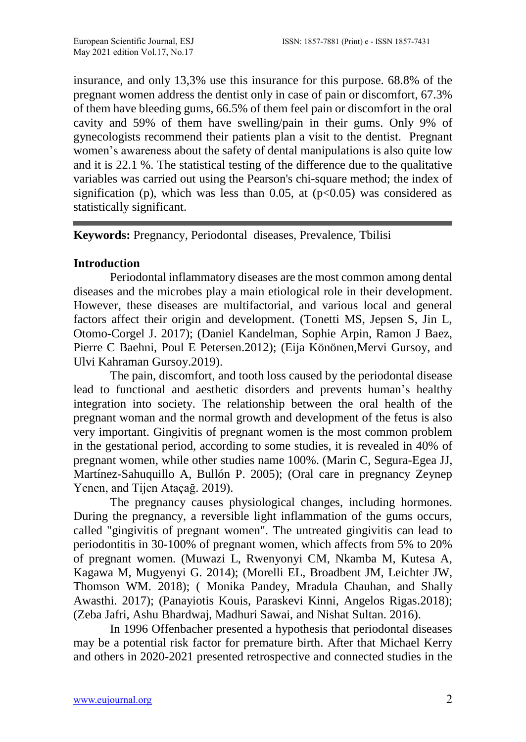insurance, and only 13,3% use this insurance for this purpose. 68.8% of the pregnant women address the dentist only in case of pain or discomfort, 67.3% of them have bleeding gums, 66.5% of them feel pain or discomfort in the oral cavity and 59% of them have swelling/pain in their gums. Only 9% of gynecologists recommend their patients plan a visit to the dentist. Pregnant women's awareness about the safety of dental manipulations is also quite low and it is 22.1 %. The statistical testing of the difference due to the qualitative variables was carried out using the Pearson's chi-square method; the index of signification (p), which was less than 0.05, at  $(p<0.05)$  was considered as statistically significant.

**Keywords:** Pregnancy, Periodontal diseases, Prevalence, Tbilisi

# **Introduction**

Periodontal inflammatory diseases are the most common among dental diseases and the microbes play a main etiological role in their development. However, these diseases are multifactorial, and various local and general factors affect their origin and development. (Tonetti MS, Jepsen S, Jin L, Otomo-Corgel J. 2017); (Daniel Kandelman, Sophie Arpin, Ramon J Baez, Pierre C Baehni, Poul E Petersen.2012); (Eija Könönen,Mervi Gursoy, and Ulvi Kahraman Gursoy.2019).

The pain, discomfort, and tooth loss caused by the periodontal disease lead to functional and aesthetic disorders and prevents human's healthy integration into society. The relationship between the oral health of the pregnant woman and the normal growth and development of the fetus is also very important. Gingivitis of pregnant women is the most common problem in the gestational period, according to some studies, it is revealed in 40% of pregnant women, while other studies name 100%. (Marin C, Segura-Egea JJ, Martínez-Sahuquillo A, Bullón P. 2005); (Oral care in pregnancy Zeynep Yenen, and Tijen Ataçağ. 2019).

The pregnancy causes physiological changes, including hormones. During the pregnancy, a reversible light inflammation of the gums occurs, called "gingivitis of pregnant women". The untreated gingivitis can lead to periodontitis in 30-100% of pregnant women, which affects from 5% to 20% of pregnant women. (Muwazi L, Rwenyonyi CM, Nkamba M, Kutesa A, Kagawa M, Mugyenyi G. 2014); (Morelli EL, Broadbent JM, Leichter JW, Thomson WM. 2018); ( Monika Pandey, Mradula Chauhan, and Shally Awasthi. 2017); (Panayiotis Kouis, Paraskevi Kinni, Angelos Rigas.2018); (Zeba Jafri, Ashu Bhardwaj, Madhuri Sawai, and Nishat Sultan. 2016).

In 1996 Offenbacher presented a hypothesis that periodontal diseases may be a potential risk factor for premature birth. After that Michael Kerry and others in 2020-2021 presented retrospective and connected studies in the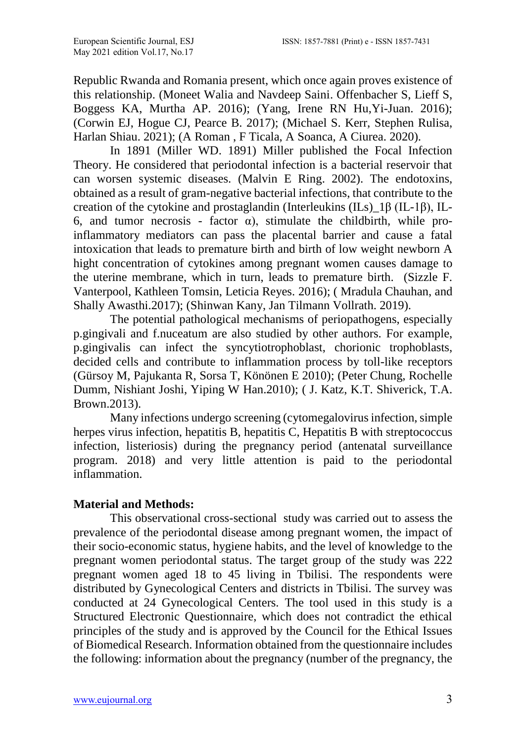Republic Rwanda and Romania present, which once again proves existence of this relationship. (Moneet Walia and Navdeep Saini. Offenbacher S, Lieff S, Boggess KA, Murtha AP. 2016); (Yang, Irene RN Hu,Yi-Juan. 2016); (Corwin EJ, Hogue CJ, Pearce B. 2017); (Michael S. Kerr, Stephen Rulisa, Harlan Shiau. 2021); (A Roman , F Ticala, A Soanca, A Ciurea. 2020).

In 1891 (Miller WD. 1891) Miller published the Focal Infection Theory. He considered that periodontal infection is a bacterial reservoir that can worsen systemic diseases. (Malvin E Ring. 2002). The endotoxins, obtained as a result of gram-negative bacterial infections, that contribute to the creation of the cytokine and prostaglandin (Interleukins (ILs)  $1\beta$  (IL-1β), IL-6, and tumor necrosis - factor α), stimulate the childbirth, while proinflammatory mediators can pass the placental barrier and cause a fatal intoxication that leads to premature birth and birth of low weight newborn A hight concentration of cytokines among pregnant women causes damage to the uterine membrane, which in turn, leads to premature birth. (Sizzle F. Vanterpool, Kathleen Tomsin, Leticia Reyes. 2016); ( Mradula Chauhan, and Shally Awasthi.2017); (Shinwan Kany, Jan Tilmann Vollrath. 2019).

The potential pathological mechanisms of periopathogens, especially p.gingivali and f.nuceatum are also studied by other authors. For example, p.gingivalis can infect [the syncytiotrophoblast,](https://ru.qaz.wiki/wiki/Syncytiotrophoblast) chorionic trophoblasts, decided cells and contribute to inflammation process by toll-like receptors (Gürsoy M, Pajukanta R, Sorsa T, Könönen E 2010); (Peter Chung, Rochelle Dumm, Nishiant Joshi, Yiping W Han.2010); ( J. Katz, K.T. Shiverick, T.A. Brown.2013).

Many infections undergo screening (cytomegalovirus infection, simple herpes virus infection, hepatitis B, hepatitis C, Hepatitis B with streptococcus infection, listeriosis) during the pregnancy period (antenatal surveillance program. 2018) and very little attention is paid to the periodontal inflammation.

# **Material and Methods:**

This observational cross-sectional study was carried out to assess the prevalence of the periodontal disease among pregnant women, the impact of their socio-economic status, hygiene habits, and the level of knowledge to the pregnant women periodontal status. The target group of the study was 222 pregnant women aged 18 to 45 living in Tbilisi. The respondents were distributed by Gynecological Centers and districts in Tbilisi. The survey was conducted at 24 Gynecological Centers. The tool used in this study is a Structured Electronic Questionnaire, which does not contradict the ethical principles of the study and is approved by the Council for the Ethical Issues of Biomedical Research. Information obtained from the questionnaire includes the following: information about the pregnancy (number of the pregnancy, the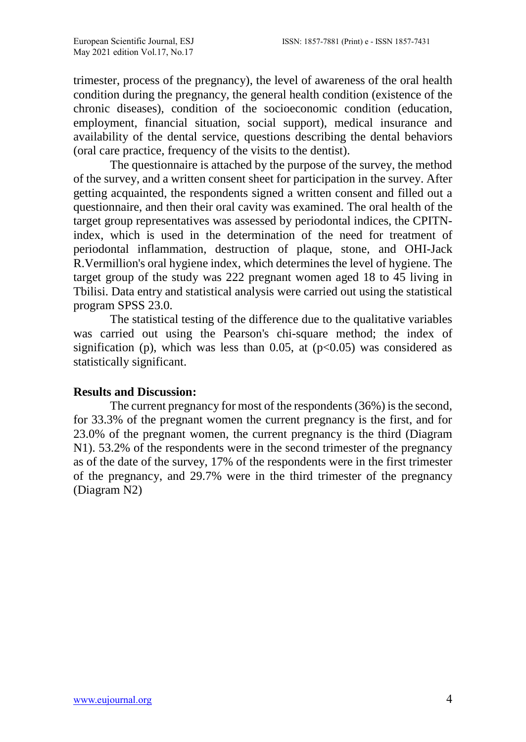trimester, process of the pregnancy), the level of awareness of the oral health condition during the pregnancy, the general health condition (existence of the chronic diseases), condition of the socioeconomic condition (education, employment, financial situation, social support), medical insurance and availability of the dental service, questions describing the dental behaviors (oral care practice, frequency of the visits to the dentist).

The questionnaire is attached by the purpose of the survey, the method of the survey, and a written consent sheet for participation in the survey. After getting acquainted, the respondents signed a written consent and filled out a questionnaire, and then their oral cavity was examined. The oral health of the target group representatives was assessed by periodontal indices, the CPITNindex, which is used in the determination of the need for treatment of periodontal inflammation, destruction of plaque, stone, and OHI-Jack R.Vermillion's oral hygiene index, which determines the level of hygiene. The target group of the study was 222 pregnant women aged 18 to 45 living in Tbilisi. Data entry and statistical analysis were carried out using the statistical program SPSS 23.0.

The statistical testing of the difference due to the qualitative variables was carried out using the Pearson's chi-square method; the index of signification (p), which was less than 0.05, at  $(p<0.05)$  was considered as statistically significant.

### **Results and Discussion:**

The current pregnancy for most of the respondents (36%) is the second, for 33.3% of the pregnant women the current pregnancy is the first, and for 23.0% of the pregnant women, the current pregnancy is the third (Diagram N1). 53.2% of the respondents were in the second trimester of the pregnancy as of the date of the survey, 17% of the respondents were in the first trimester of the pregnancy, and 29.7% were in the third trimester of the pregnancy (Diagram N2)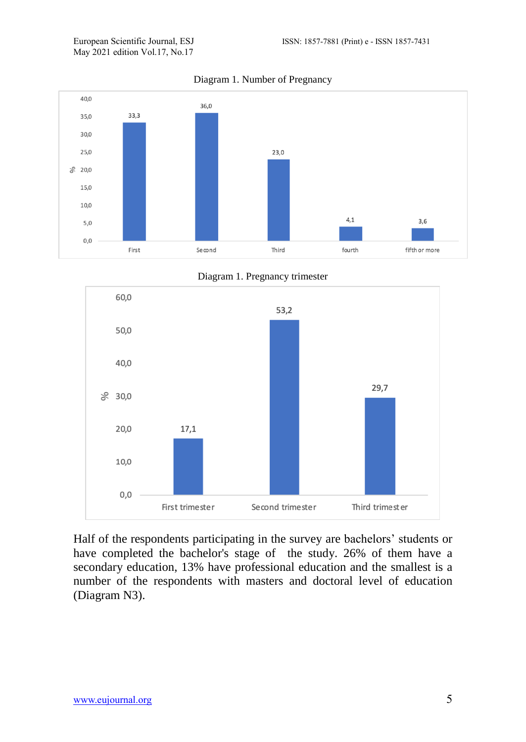May 2021 edition Vol.17, No.17



Diagram 1. Number of Pregnancy





Half of the respondents participating in the survey are bachelors' students or have completed the bachelor's stage of the study. 26% of them have a secondary education, 13% have professional education and the smallest is a number of the respondents with masters and doctoral level of education (Diagram N3).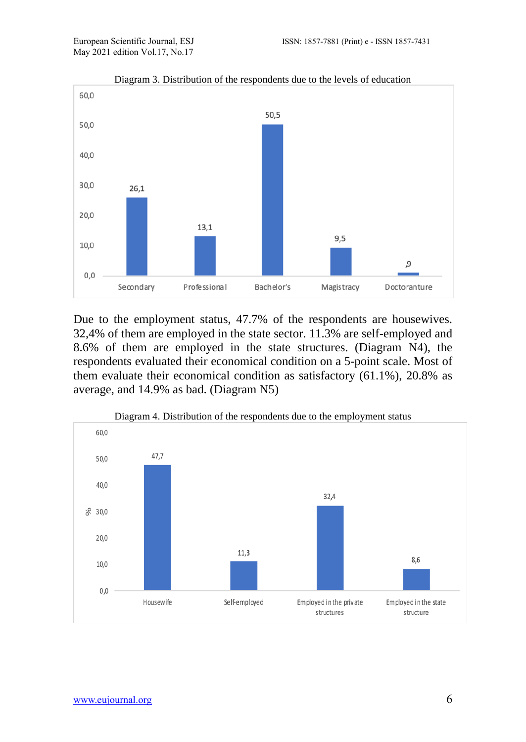

Diagram 3. Distribution of the respondents due to the levels of education

Due to the employment status, 47.7% of the respondents are housewives. 32,4% of them are employed in the state sector. 11.3% are self-employed and 8.6% of them are employed in the state structures. (Diagram N4), the respondents evaluated their economical condition on a 5-point scale. Most of them evaluate their economical condition as satisfactory (61.1%), 20.8% as average, and 14.9% as bad. (Diagram N5)

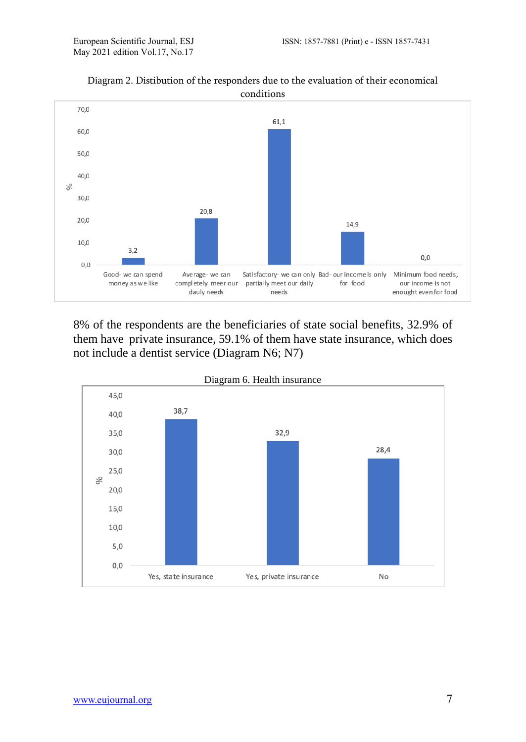

### Diagram 2. Distibution of the responders due to the evaluation of their economical conditions

8% of the respondents are the beneficiaries of state social benefits, 32.9% of them have private insurance, 59.1% of them have state insurance, which does not include a dentist service (Diagram N6; N7)

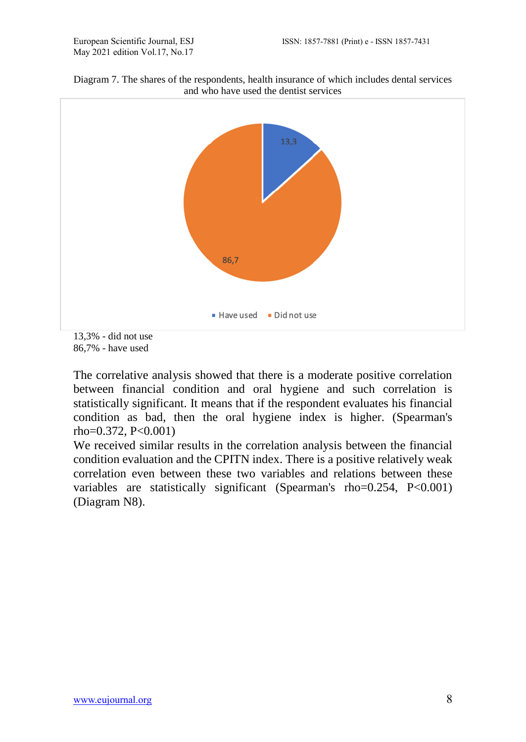



86,7% - have used

The correlative analysis showed that there is a moderate positive correlation between financial condition and oral hygiene and such correlation is statistically significant. It means that if the respondent evaluates his financial condition as bad, then the oral hygiene index is higher. (Spearman's rho=0.372, P<0.001)

We received similar results in the correlation analysis between the financial condition evaluation and the CPITN index. There is a positive relatively weak correlation even between these two variables and relations between these variables are statistically significant (Spearman's rho=0.254, P<0.001) (Diagram N8).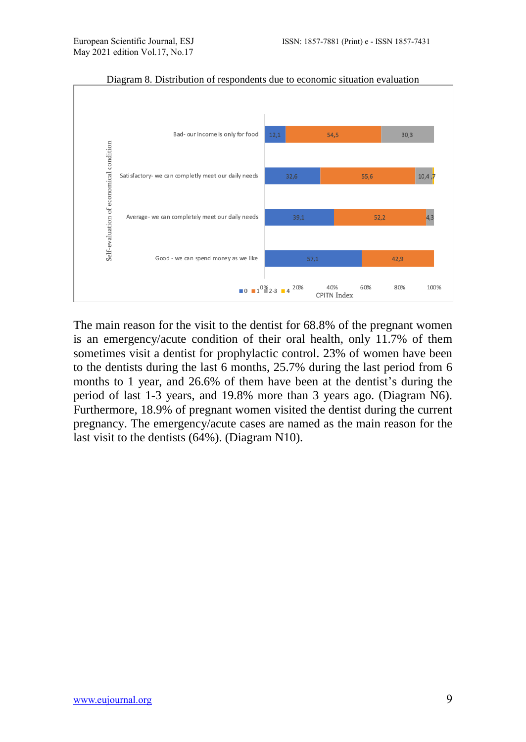

Diagram 8. Distribution of respondents due to economic situation evaluation

The main reason for the visit to the dentist for 68.8% of the pregnant women is an emergency/acute condition of their oral health, only 11.7% of them sometimes visit a dentist for prophylactic control. 23% of women have been to the dentists during the last 6 months, 25.7% during the last period from 6 months to 1 year, and 26.6% of them have been at the dentist's during the period of last 1-3 years, and 19.8% more than 3 years ago. (Diagram N6). Furthermore, 18.9% of pregnant women visited the dentist during the current pregnancy. The emergency/acute cases are named as the main reason for the last visit to the dentists (64%). (Diagram N10).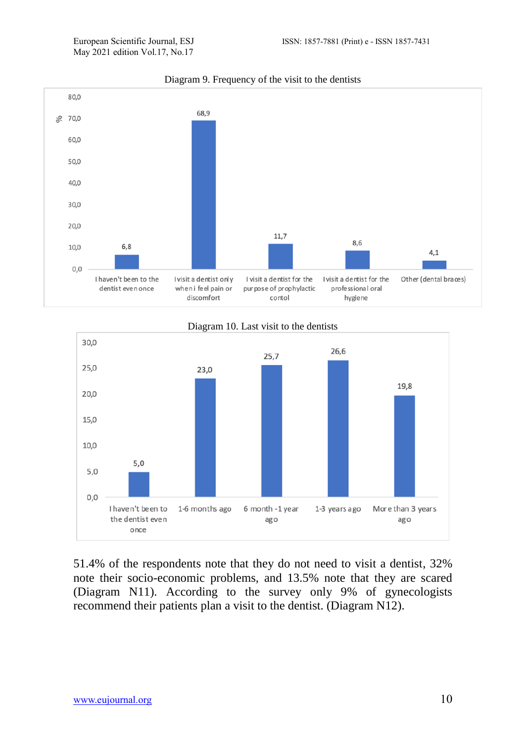

### Diagram 9. Frequency of the visit to the dentists





51.4% of the respondents note that they do not need to visit a dentist, 32% note their socio-economic problems, and 13.5% note that they are scared (Diagram N11). According to the survey only 9% of gynecologists recommend their patients plan a visit to the dentist. (Diagram N12).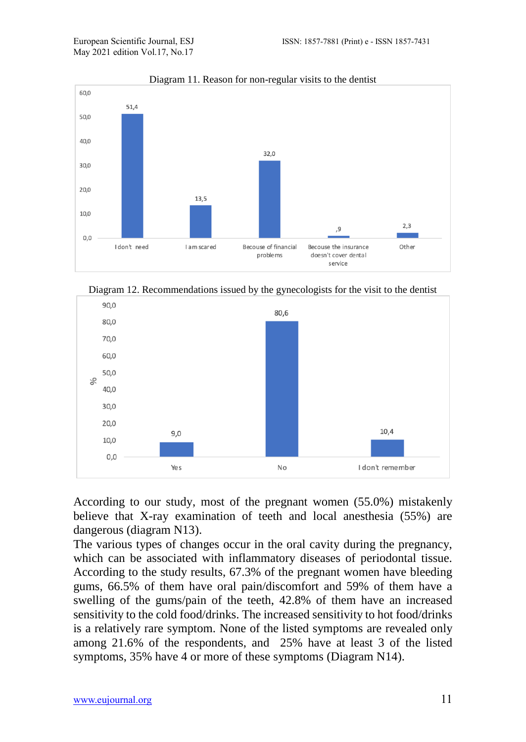

Diagram 11. Reason for non-regular visits to the dentist





According to our study, most of the pregnant women (55.0%) mistakenly believe that X-ray examination of teeth and local anesthesia (55%) are dangerous (diagram N13).

The various types of changes occur in the oral cavity during the pregnancy, which can be associated with inflammatory diseases of periodontal tissue. According to the study results, 67.3% of the pregnant women have bleeding gums, 66.5% of them have oral pain/discomfort and 59% of them have a swelling of the gums/pain of the teeth, 42.8% of them have an increased sensitivity to the cold food/drinks. The increased sensitivity to hot food/drinks is a relatively rare symptom. None of the listed symptoms are revealed only among 21.6% of the respondents, and 25% have at least 3 of the listed symptoms, 35% have 4 or more of these symptoms (Diagram N14).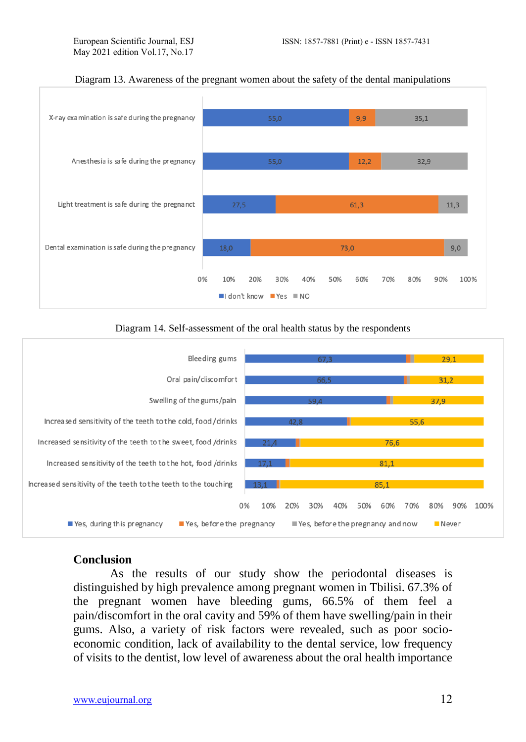

#### Diagram 13. Awareness of the pregnant women about the safety of the dental manipulations

### Diagram 14. Self-assessment of the oral health status by the respondents



### **Conclusion**

As the results of our study show the periodontal diseases is distinguished by high prevalence among pregnant women in Tbilisi. 67.3% of the pregnant women have bleeding gums, 66.5% of them feel a pain/discomfort in the oral cavity and 59% of them have swelling/pain in their gums. Also, a variety of risk factors were revealed, such as poor socioeconomic condition, lack of availability to the dental service, low frequency of visits to the dentist, low level of awareness about the oral health importance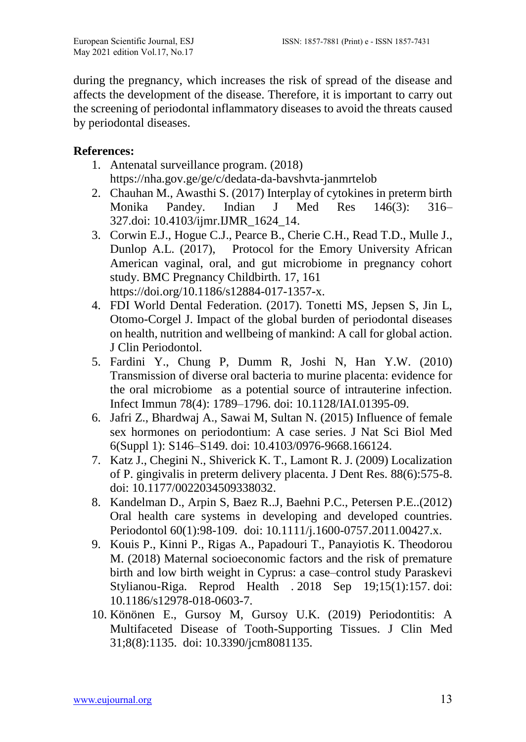during the pregnancy, which increases the risk of spread of the disease and affects the development of the disease. Therefore, it is important to carry out the screening of periodontal inflammatory diseases to avoid the threats caused by periodontal diseases.

# **References:**

- 1. Antenatal surveillance program. (2018) <https://nha.gov.ge/ge/c/dedata-da-bavshvta-janmrtelob>
- 2. Chauhan M., Awasthi S. (2017) Interplay of cytokines in preterm birth Monika Pandey. Indian J Med Res 146(3): 316– 327.doi: [10.4103/ijmr.IJMR\\_1624\\_14.](https://dx.doi.org/10.4103%2Fijmr.IJMR_1624_14)
- 3. Corwin E.J., Hogue C.J., Pearce B., Cherie C.H., Read T.D., Mulle J., Dunlop A.L. (2017), Protocol for the Emory University African American vaginal, oral, and gut microbiome in pregnancy cohort study. BMC Pregnancy Childbirth. 17, 161 [https://doi.org/10.1186/s12884-017-1357-x.](https://doi.org/10.1186/s12884-017-1357-x)
- 4. FDI World Dental Federation. (2017). Tonetti MS, Jepsen S, Jin L, Otomo-Corgel J. Impact of the global burden of periodontal diseases on health, nutrition and wellbeing of mankind: A call for global action. J Clin Periodontol.
- 5. Fardini Y., Chung P, Dumm R, Joshi N, Han Y.W. (2010) Transmission of diverse oral bacteria to murine placenta: evidence for the oral microbiome as a potential source of intrauterine infection. Infect Immun 78(4): 1789–1796. doi: [10.1128/IAI.01395-09.](https://dx.doi.org/10.1128%2FIAI.01395-09)
- 6. Jafri Z., Bhardwaj A., Sawai M, Sultan N. (2015) Influence of female sex hormones on periodontium: A case series. J Nat Sci Biol Med 6(Suppl 1): S146–S149. doi: [10.4103/0976-9668.166124.](https://dx.doi.org/10.4103%2F0976-9668.166124)
- 7. Katz J., Chegini N., Shiverick K. T., Lamont R. J. (2009) Localization of P. gingivalis in preterm delivery placenta. J Dent Res. 88(6):575-8. doi: 10.1177/0022034509338032.
- 8. Kandelman D., Arpin S, Baez R..J, Baehni P.C., Petersen P.E..(2012) Oral health care systems in developing and developed countries. Periodontol 60(1):98-109. doi: 10.1111/j.1600-0757.2011.00427.x.
- 9. Kouis P., Kinni P., Rigas A., Papadouri T., Panayiotis K. Theodorou M. (2018) Maternal socioeconomic factors and the risk of premature birth and low birth weight in Cyprus: a case–control study Paraskevi Stylianou-Riga. Reprod Health . 2018 Sep 19;15(1):157. doi: 10.1186/s12978-018-0603-7.
- 10. Könönen E., Gursoy M, Gursoy U.K. (2019) Periodontitis: A Multifaceted Disease of Tooth-Supporting Tissues. J Clin Med 31;8(8):1135. doi: 10.3390/jcm8081135.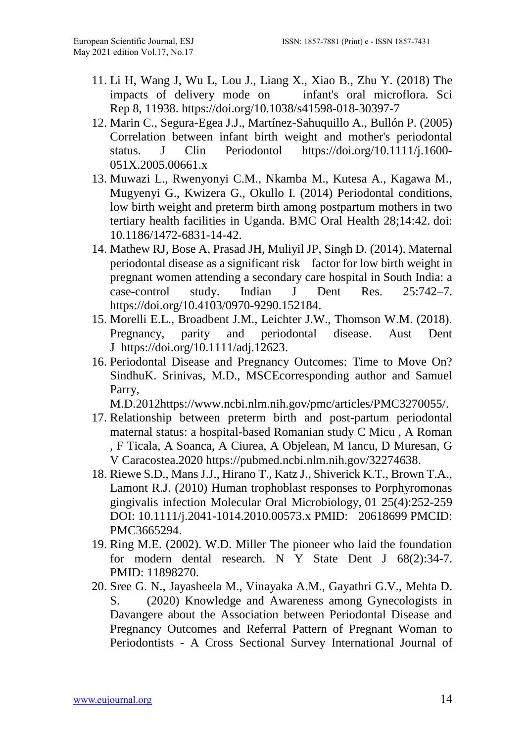- 11. Li H, Wang J, Wu L, Lou J., Liang X., Xiao B., Zhu Y. (2018) The impacts of delivery mode on infant's oral microflora. Sci Rep 8, 11938.<https://doi.org/10.1038/s41598-018-30397-7>
- 12. Marin C., Segura-Egea J.J., Martínez-Sahuquillo A., Bullón P. (2005) Correlation between infant birth weight and mother's periodontal status. J Clin Periodontol [https://doi.org/10.1111/j.1600-](https://doi.org/10.1111/j.1600-051X.2005.00661.x) [051X.2005.00661.x](https://doi.org/10.1111/j.1600-051X.2005.00661.x)
- 13. Muwazi L., Rwenyonyi C.M., Nkamba M., Kutesa A., Kagawa M., Mugyenyi G., Kwizera G., Okullo I. (2014) Periodontal conditions, low birth weight and preterm birth among postpartum mothers in two tertiary health facilities in Uganda. BMC Oral Health 28;14:42. doi: 10.1186/1472-6831-14-42.
- 14. Mathew RJ, Bose A, Prasad JH, Muliyil JP, Singh D. (2014). Maternal periodontal disease as a significant risk factor for low birth weight in pregnant women attending a secondary care hospital in South India: a case-control study. Indian J Dent Res. 25:742–7. [https://doi.org/10.4103/0970-9290.152184.](https://doi.org/10.4103/0970-9290.152184)
- 15. Morelli E.L., Broadbent J.M., Leichter J.W., Thomson W.M. (2018). Pregnancy, parity and periodontal disease. Aust Dent J [https://doi.org/10.1111/adj.12623.](https://doi.org/10.1111/adj.12623)
- 16. Periodontal Disease and Pregnancy Outcomes: Time to Move On? SindhuK. Srinivas, M.D., MSCEcorresponding author and Samuel Parry,

M.D.2012https://www.ncbi.nlm.nih.gov/pmc/articles/PMC3270055/.

- 17. Relationship between preterm birth and post-partum periodontal maternal status: a hospital-based Romanian study C Micu , A Roman , F Ticala, A Soanca, A Ciurea, A Objelean, M Iancu, D Muresan, G V Caracostea.2020 https://pubmed.ncbi.nlm.nih.gov/32274638.
- 18. Riewe S.D., Mans J.J., Hirano T., Katz J., Shiverick K.T., Brown T.A., Lamont R.J. (2010) Human trophoblast responses to Porphyromonas gingivalis infection Molecular Oral Microbiology, 01 25(4):252-259 DOI: [10.1111/j.2041-1014.2010.00573.x](https://doi.org/10.1111/j.2041-1014.2010.00573.x) PMID: 20618699 PMCID: PMC3665294.
- 19. Ring M.E. (2002). W.D. Miller The pioneer who laid the foundation for modern dental research. N Y State Dent J 68(2):34-7. PMID: 11898270.
- 20. Sree G. N., Jayasheela M., Vinayaka A.M., Gayathri G.V., Mehta D. S. (2020) Knowledge and Awareness among Gynecologists in Davangere about the Association between Periodontal Disease and Pregnancy Outcomes and Referral Pattern of Pregnant Woman to Periodontists - A Cross Sectional Survey International Journal of